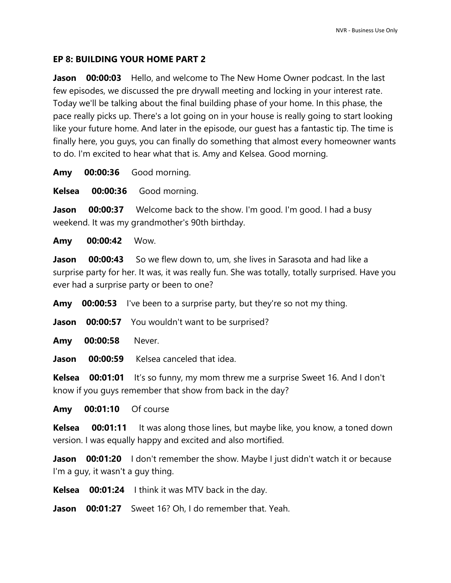## **EP 8: BUILDING YOUR HOME PART 2**

**Jason 00:00:03** Hello, and welcome to The New Home Owner podcast. In the last few episodes, we discussed the pre drywall meeting and locking in your interest rate. Today we'll be talking about the final building phase of your home. In this phase, the pace really picks up. There's a lot going on in your house is really going to start looking like your future home. And later in the episode, our guest has a fantastic tip. The time is finally here, you guys, you can finally do something that almost every homeowner wants to do. I'm excited to hear what that is. Amy and Kelsea. Good morning.

**Amy 00:00:36** Good morning.

**Kelsea 00:00:36** Good morning.

**Jason 00:00:37** Welcome back to the show. I'm good. I'm good. I had a busy weekend. It was my grandmother's 90th birthday.

**Amy 00:00:42** Wow.

**Jason 00:00:43** So we flew down to, um, she lives in Sarasota and had like a surprise party for her. It was, it was really fun. She was totally, totally surprised. Have you ever had a surprise party or been to one?

**Amy 00:00:53** I've been to a surprise party, but they're so not my thing.

**Jason 00:00:57** You wouldn't want to be surprised?

**Amy 00:00:58** Never.

**Jason 00:00:59** Kelsea canceled that idea.

**Kelsea 00:01:01** It's so funny, my mom threw me a surprise Sweet 16. And I don't know if you guys remember that show from back in the day?

**Amy 00:01:10** Of course

**Kelsea 00:01:11** It was along those lines, but maybe like, you know, a toned down version. I was equally happy and excited and also mortified.

**Jason 00:01:20** I don't remember the show. Maybe I just didn't watch it or because I'm a guy, it wasn't a guy thing.

**Kelsea 00:01:24** I think it was MTV back in the day.

**Jason 00:01:27** Sweet 16? Oh, I do remember that. Yeah.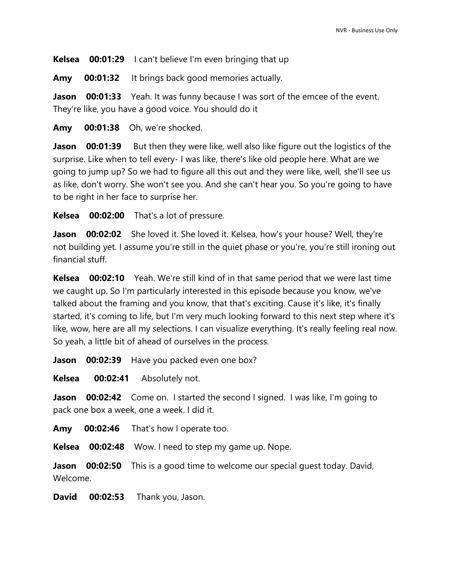**Kelsea 00:01:29** I can't believe I'm even bringing that up

**Amy 00:01:32** It brings back good memories actually.

**Jason 00:01:33** Yeah. It was funny because I was sort of the emcee of the event. They're like, you have a good voice. You should do it

**Amy 00:01:38** Oh, we're shocked.

**Jason 00:01:39** But then they were like, well also like figure out the logistics of the surprise. Like when to tell every- I was like, there's like old people here. What are we going to jump up? So we had to figure all this out and they were like, well, she'll see us as like, don't worry. She won't see you. And she can't hear you. So you're going to have to be right in her face to surprise her.

**Kelsea 00:02:00** That's a lot of pressure.

**Jason 00:02:02** She loved it. She loved it. Kelsea, how's your house? Well, they're not building yet. I assume you're still in the quiet phase or you're, you're still ironing out financial stuff.

**Kelsea 00:02:10** Yeah. We're still kind of in that same period that we were last time we caught up. So I'm particularly interested in this episode because you know, we've talked about the framing and you know, that that's exciting. Cause it's like, it's finally started, it's coming to life, but I'm very much looking forward to this next step where it's like, wow, here are all my selections. I can visualize everything. It's really feeling real now. So yeah, a little bit of ahead of ourselves in the process.

**Jason** 00:02:39 Have you packed even one box?

**Kelsea 00:02:41** Absolutely not.

**Jason 00:02:42** Come on. I started the second I signed. I was like, I'm going to pack one box a week, one a week. I did it.

**Amy 00:02:46** That's how I operate too.

**Kelsea 00:02:48** Wow. I need to step my game up. Nope.

**Jason** 00:02:50 This is a good time to welcome our special guest today. David, Welcome.

**David 00:02:53** Thank you, Jason.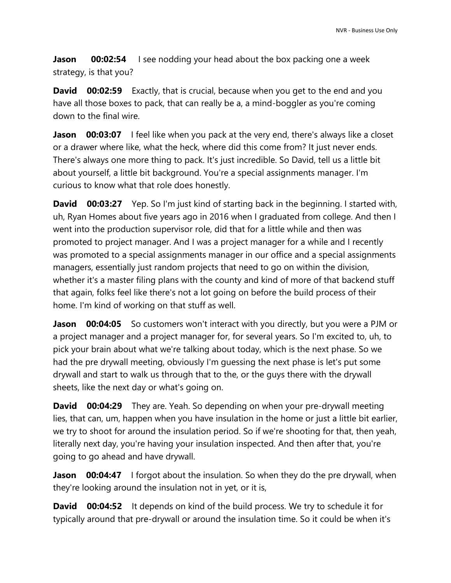**Jason 00:02:54** I see nodding your head about the box packing one a week strategy, is that you?

**David 00:02:59** Exactly, that is crucial, because when you get to the end and you have all those boxes to pack, that can really be a, a mind-boggler as you're coming down to the final wire.

**Jason 00:03:07** I feel like when you pack at the very end, there's always like a closet or a drawer where like, what the heck, where did this come from? It just never ends. There's always one more thing to pack. It's just incredible. So David, tell us a little bit about yourself, a little bit background. You're a special assignments manager. I'm curious to know what that role does honestly.

**David 00:03:27** Yep. So I'm just kind of starting back in the beginning. I started with, uh, Ryan Homes about five years ago in 2016 when I graduated from college. And then I went into the production supervisor role, did that for a little while and then was promoted to project manager. And I was a project manager for a while and I recently was promoted to a special assignments manager in our office and a special assignments managers, essentially just random projects that need to go on within the division, whether it's a master filing plans with the county and kind of more of that backend stuff that again, folks feel like there's not a lot going on before the build process of their home. I'm kind of working on that stuff as well.

**Jason 00:04:05** So customers won't interact with you directly, but you were a PJM or a project manager and a project manager for, for several years. So I'm excited to, uh, to pick your brain about what we're talking about today, which is the next phase. So we had the pre drywall meeting, obviously I'm guessing the next phase is let's put some drywall and start to walk us through that to the, or the guys there with the drywall sheets, like the next day or what's going on.

**David 00:04:29** They are. Yeah. So depending on when your pre-drywall meeting lies, that can, um, happen when you have insulation in the home or just a little bit earlier, we try to shoot for around the insulation period. So if we're shooting for that, then yeah, literally next day, you're having your insulation inspected. And then after that, you're going to go ahead and have drywall.

**Jason 00:04:47** I forgot about the insulation. So when they do the pre drywall, when they're looking around the insulation not in yet, or it is,

**David 00:04:52** It depends on kind of the build process. We try to schedule it for typically around that pre-drywall or around the insulation time. So it could be when it's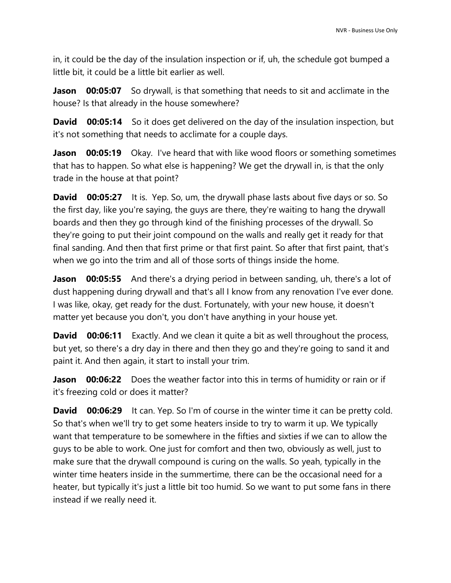in, it could be the day of the insulation inspection or if, uh, the schedule got bumped a little bit, it could be a little bit earlier as well.

**Jason** 00:05:07 So drywall, is that something that needs to sit and acclimate in the house? Is that already in the house somewhere?

**David 00:05:14** So it does get delivered on the day of the insulation inspection, but it's not something that needs to acclimate for a couple days.

**Jason 00:05:19** Okay. I've heard that with like wood floors or something sometimes that has to happen. So what else is happening? We get the drywall in, is that the only trade in the house at that point?

**David 00:05:27** It is. Yep. So, um, the drywall phase lasts about five days or so. So the first day, like you're saying, the guys are there, they're waiting to hang the drywall boards and then they go through kind of the finishing processes of the drywall. So they're going to put their joint compound on the walls and really get it ready for that final sanding. And then that first prime or that first paint. So after that first paint, that's when we go into the trim and all of those sorts of things inside the home.

**Jason 00:05:55** And there's a drying period in between sanding, uh, there's a lot of dust happening during drywall and that's all I know from any renovation I've ever done. I was like, okay, get ready for the dust. Fortunately, with your new house, it doesn't matter yet because you don't, you don't have anything in your house yet.

**David 00:06:11** Exactly. And we clean it quite a bit as well throughout the process, but yet, so there's a dry day in there and then they go and they're going to sand it and paint it. And then again, it start to install your trim.

**Jason 00:06:22** Does the weather factor into this in terms of humidity or rain or if it's freezing cold or does it matter?

**David 00:06:29** It can. Yep. So I'm of course in the winter time it can be pretty cold. So that's when we'll try to get some heaters inside to try to warm it up. We typically want that temperature to be somewhere in the fifties and sixties if we can to allow the guys to be able to work. One just for comfort and then two, obviously as well, just to make sure that the drywall compound is curing on the walls. So yeah, typically in the winter time heaters inside in the summertime, there can be the occasional need for a heater, but typically it's just a little bit too humid. So we want to put some fans in there instead if we really need it.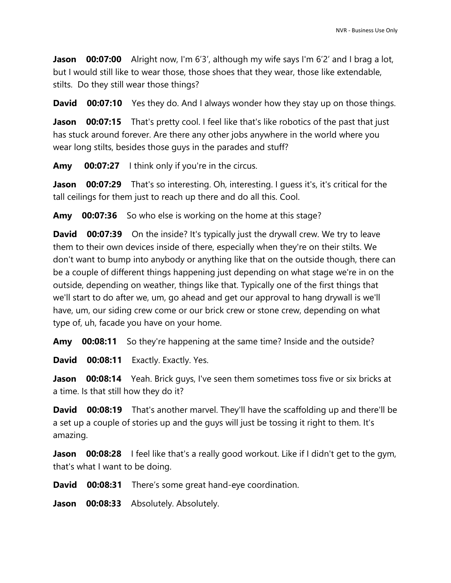**Jason 00:07:00** Alright now, I'm 6'3', although my wife says I'm 6'2' and I brag a lot, but I would still like to wear those, those shoes that they wear, those like extendable, stilts. Do they still wear those things?

**David 00:07:10** Yes they do. And I always wonder how they stay up on those things.

**Jason 00:07:15** That's pretty cool. I feel like that's like robotics of the past that just has stuck around forever. Are there any other jobs anywhere in the world where you wear long stilts, besides those guys in the parades and stuff?

**Amy 00:07:27** I think only if you're in the circus.

**Jason 00:07:29** That's so interesting. Oh, interesting. I guess it's, it's critical for the tall ceilings for them just to reach up there and do all this. Cool.

**Amy 00:07:36** So who else is working on the home at this stage?

**David 00:07:39** On the inside? It's typically just the drywall crew. We try to leave them to their own devices inside of there, especially when they're on their stilts. We don't want to bump into anybody or anything like that on the outside though, there can be a couple of different things happening just depending on what stage we're in on the outside, depending on weather, things like that. Typically one of the first things that we'll start to do after we, um, go ahead and get our approval to hang drywall is we'll have, um, our siding crew come or our brick crew or stone crew, depending on what type of, uh, facade you have on your home.

**Amy 00:08:11** So they're happening at the same time? Inside and the outside?

**David 00:08:11** Exactly. Exactly. Yes.

**Jason 00:08:14** Yeah. Brick guys, I've seen them sometimes toss five or six bricks at a time. Is that still how they do it?

**David 00:08:19** That's another marvel. They'll have the scaffolding up and there'll be a set up a couple of stories up and the guys will just be tossing it right to them. It's amazing.

**Jason 00:08:28** I feel like that's a really good workout. Like if I didn't get to the gym, that's what I want to be doing.

**David 00:08:31** There's some great hand-eye coordination.

**Jason 00:08:33** Absolutely. Absolutely.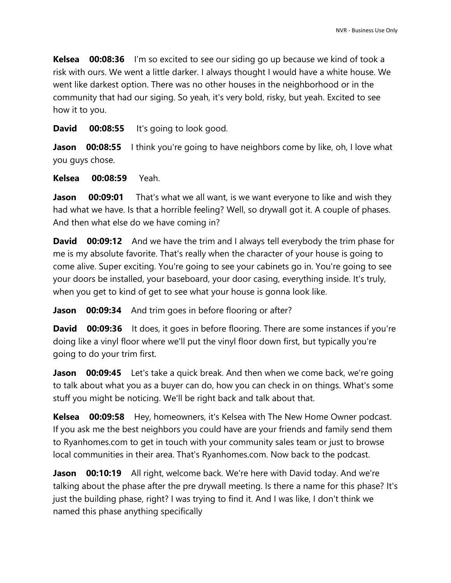**Kelsea 00:08:36** I'm so excited to see our siding go up because we kind of took a risk with ours. We went a little darker. I always thought I would have a white house. We went like darkest option. There was no other houses in the neighborhood or in the community that had our siging. So yeah, it's very bold, risky, but yeah. Excited to see how it to you.

**David 00:08:55** It's going to look good.

**Jason 00:08:55** I think you're going to have neighbors come by like, oh, I love what you guys chose.

**Kelsea 00:08:59** Yeah.

**Jason 00:09:01** That's what we all want, is we want everyone to like and wish they had what we have. Is that a horrible feeling? Well, so drywall got it. A couple of phases. And then what else do we have coming in?

**David 00:09:12** And we have the trim and I always tell everybody the trim phase for me is my absolute favorite. That's really when the character of your house is going to come alive. Super exciting. You're going to see your cabinets go in. You're going to see your doors be installed, your baseboard, your door casing, everything inside. It's truly, when you get to kind of get to see what your house is gonna look like.

**Jason** 00:09:34 And trim goes in before flooring or after?

**David 00:09:36** It does, it goes in before flooring. There are some instances if you're doing like a vinyl floor where we'll put the vinyl floor down first, but typically you're going to do your trim first.

**Jason 00:09:45** Let's take a quick break. And then when we come back, we're going to talk about what you as a buyer can do, how you can check in on things. What's some stuff you might be noticing. We'll be right back and talk about that.

**Kelsea 00:09:58** Hey, homeowners, it's Kelsea with The New Home Owner podcast. If you ask me the best neighbors you could have are your friends and family send them to Ryanhomes.com to get in touch with your community sales team or just to browse local communities in their area. That's Ryanhomes.com. Now back to the podcast.

**Jason 00:10:19** All right, welcome back. We're here with David today. And we're talking about the phase after the pre drywall meeting. Is there a name for this phase? It's just the building phase, right? I was trying to find it. And I was like, I don't think we named this phase anything specifically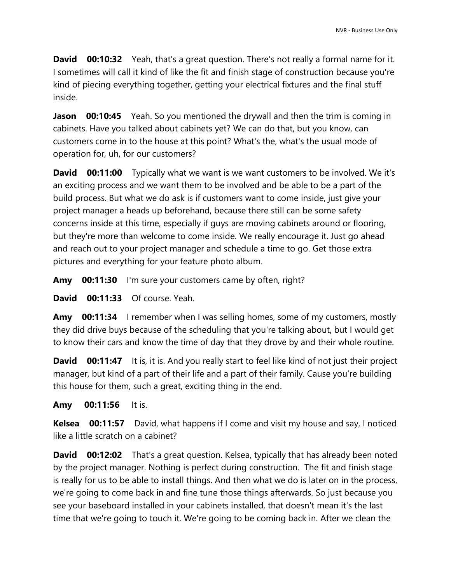**David 00:10:32** Yeah, that's a great question. There's not really a formal name for it. I sometimes will call it kind of like the fit and finish stage of construction because you're kind of piecing everything together, getting your electrical fixtures and the final stuff inside.

**Jason 00:10:45** Yeah. So you mentioned the drywall and then the trim is coming in cabinets. Have you talked about cabinets yet? We can do that, but you know, can customers come in to the house at this point? What's the, what's the usual mode of operation for, uh, for our customers?

**David 00:11:00** Typically what we want is we want customers to be involved. We it's an exciting process and we want them to be involved and be able to be a part of the build process. But what we do ask is if customers want to come inside, just give your project manager a heads up beforehand, because there still can be some safety concerns inside at this time, especially if guys are moving cabinets around or flooring, but they're more than welcome to come inside. We really encourage it. Just go ahead and reach out to your project manager and schedule a time to go. Get those extra pictures and everything for your feature photo album.

**Amy 00:11:30** I'm sure your customers came by often, right?

**David 00:11:33** Of course. Yeah.

**Amy 00:11:34** I remember when I was selling homes, some of my customers, mostly they did drive buys because of the scheduling that you're talking about, but I would get to know their cars and know the time of day that they drove by and their whole routine.

**David 00:11:47** It is, it is. And you really start to feel like kind of not just their project manager, but kind of a part of their life and a part of their family. Cause you're building this house for them, such a great, exciting thing in the end.

**Amy 00:11:56** It is.

**Kelsea 00:11:57** David, what happens if I come and visit my house and say, I noticed like a little scratch on a cabinet?

**David 00:12:02** That's a great question. Kelsea, typically that has already been noted by the project manager. Nothing is perfect during construction. The fit and finish stage is really for us to be able to install things. And then what we do is later on in the process, we're going to come back in and fine tune those things afterwards. So just because you see your baseboard installed in your cabinets installed, that doesn't mean it's the last time that we're going to touch it. We're going to be coming back in. After we clean the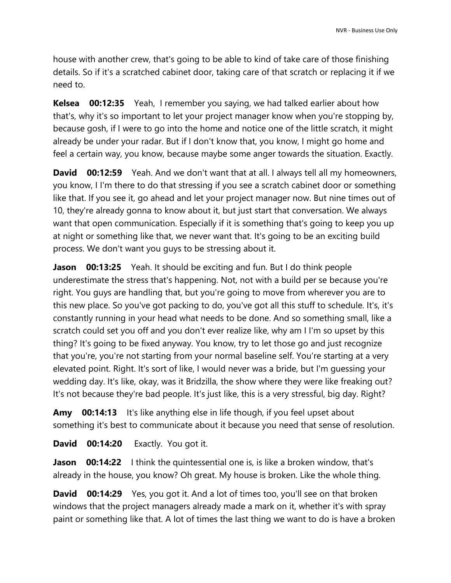house with another crew, that's going to be able to kind of take care of those finishing details. So if it's a scratched cabinet door, taking care of that scratch or replacing it if we need to.

**Kelsea 00:12:35** Yeah, I remember you saying, we had talked earlier about how that's, why it's so important to let your project manager know when you're stopping by, because gosh, if I were to go into the home and notice one of the little scratch, it might already be under your radar. But if I don't know that, you know, I might go home and feel a certain way, you know, because maybe some anger towards the situation. Exactly.

**David 00:12:59** Yeah. And we don't want that at all. I always tell all my homeowners, you know, I I'm there to do that stressing if you see a scratch cabinet door or something like that. If you see it, go ahead and let your project manager now. But nine times out of 10, they're already gonna to know about it, but just start that conversation. We always want that open communication. Especially if it is something that's going to keep you up at night or something like that, we never want that. It's going to be an exciting build process. We don't want you guys to be stressing about it.

**Jason** 00:13:25 Yeah. It should be exciting and fun. But I do think people underestimate the stress that's happening. Not, not with a build per se because you're right. You guys are handling that, but you're going to move from wherever you are to this new place. So you've got packing to do, you've got all this stuff to schedule. It's, it's constantly running in your head what needs to be done. And so something small, like a scratch could set you off and you don't ever realize like, why am I I'm so upset by this thing? It's going to be fixed anyway. You know, try to let those go and just recognize that you're, you're not starting from your normal baseline self. You're starting at a very elevated point. Right. It's sort of like, I would never was a bride, but I'm guessing your wedding day. It's like, okay, was it Bridzilla, the show where they were like freaking out? It's not because they're bad people. It's just like, this is a very stressful, big day. Right?

**Amy 00:14:13** It's like anything else in life though, if you feel upset about something it's best to communicate about it because you need that sense of resolution.

**David 00:14:20** Exactly. You got it.

**Jason 00:14:22** I think the quintessential one is, is like a broken window, that's already in the house, you know? Oh great. My house is broken. Like the whole thing.

**David 00:14:29** Yes, you got it. And a lot of times too, you'll see on that broken windows that the project managers already made a mark on it, whether it's with spray paint or something like that. A lot of times the last thing we want to do is have a broken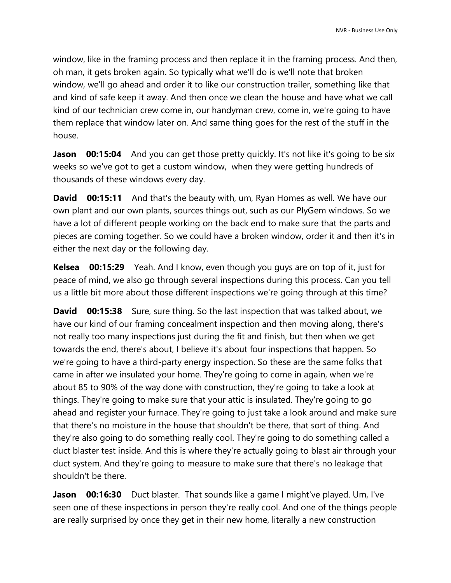window, like in the framing process and then replace it in the framing process. And then, oh man, it gets broken again. So typically what we'll do is we'll note that broken window, we'll go ahead and order it to like our construction trailer, something like that and kind of safe keep it away. And then once we clean the house and have what we call kind of our technician crew come in, our handyman crew, come in, we're going to have them replace that window later on. And same thing goes for the rest of the stuff in the house.

**Jason 00:15:04** And you can get those pretty quickly. It's not like it's going to be six weeks so we've got to get a custom window, when they were getting hundreds of thousands of these windows every day.

**David** 00:15:11 And that's the beauty with, um, Ryan Homes as well. We have our own plant and our own plants, sources things out, such as our PlyGem windows. So we have a lot of different people working on the back end to make sure that the parts and pieces are coming together. So we could have a broken window, order it and then it's in either the next day or the following day.

**Kelsea 00:15:29** Yeah. And I know, even though you guys are on top of it, just for peace of mind, we also go through several inspections during this process. Can you tell us a little bit more about those different inspections we're going through at this time?

**David 00:15:38** Sure, sure thing. So the last inspection that was talked about, we have our kind of our framing concealment inspection and then moving along, there's not really too many inspections just during the fit and finish, but then when we get towards the end, there's about, I believe it's about four inspections that happen. So we're going to have a third-party energy inspection. So these are the same folks that came in after we insulated your home. They're going to come in again, when we're about 85 to 90% of the way done with construction, they're going to take a look at things. They're going to make sure that your attic is insulated. They're going to go ahead and register your furnace. They're going to just take a look around and make sure that there's no moisture in the house that shouldn't be there, that sort of thing. And they're also going to do something really cool. They're going to do something called a duct blaster test inside. And this is where they're actually going to blast air through your duct system. And they're going to measure to make sure that there's no leakage that shouldn't be there.

**Jason 00:16:30** Duct blaster. That sounds like a game I might've played. Um, I've seen one of these inspections in person they're really cool. And one of the things people are really surprised by once they get in their new home, literally a new construction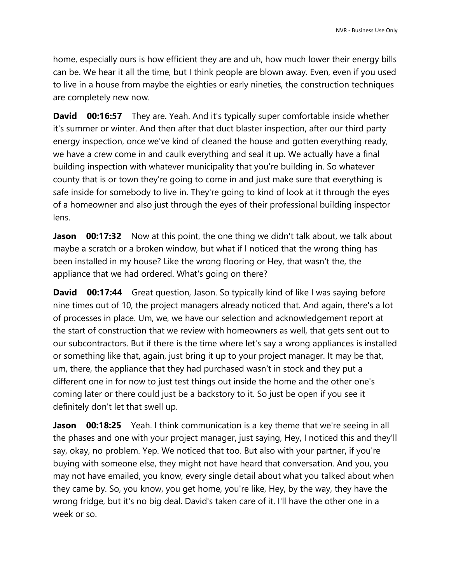home, especially ours is how efficient they are and uh, how much lower their energy bills can be. We hear it all the time, but I think people are blown away. Even, even if you used to live in a house from maybe the eighties or early nineties, the construction techniques are completely new now.

**David 00:16:57** They are. Yeah. And it's typically super comfortable inside whether it's summer or winter. And then after that duct blaster inspection, after our third party energy inspection, once we've kind of cleaned the house and gotten everything ready, we have a crew come in and caulk everything and seal it up. We actually have a final building inspection with whatever municipality that you're building in. So whatever county that is or town they're going to come in and just make sure that everything is safe inside for somebody to live in. They're going to kind of look at it through the eyes of a homeowner and also just through the eyes of their professional building inspector lens.

**Jason 00:17:32** Now at this point, the one thing we didn't talk about, we talk about maybe a scratch or a broken window, but what if I noticed that the wrong thing has been installed in my house? Like the wrong flooring or Hey, that wasn't the, the appliance that we had ordered. What's going on there?

**David** 00:17:44 Great question, Jason. So typically kind of like I was saying before nine times out of 10, the project managers already noticed that. And again, there's a lot of processes in place. Um, we, we have our selection and acknowledgement report at the start of construction that we review with homeowners as well, that gets sent out to our subcontractors. But if there is the time where let's say a wrong appliances is installed or something like that, again, just bring it up to your project manager. It may be that, um, there, the appliance that they had purchased wasn't in stock and they put a different one in for now to just test things out inside the home and the other one's coming later or there could just be a backstory to it. So just be open if you see it definitely don't let that swell up.

**Jason 00:18:25** Yeah. I think communication is a key theme that we're seeing in all the phases and one with your project manager, just saying, Hey, I noticed this and they'll say, okay, no problem. Yep. We noticed that too. But also with your partner, if you're buying with someone else, they might not have heard that conversation. And you, you may not have emailed, you know, every single detail about what you talked about when they came by. So, you know, you get home, you're like, Hey, by the way, they have the wrong fridge, but it's no big deal. David's taken care of it. I'll have the other one in a week or so.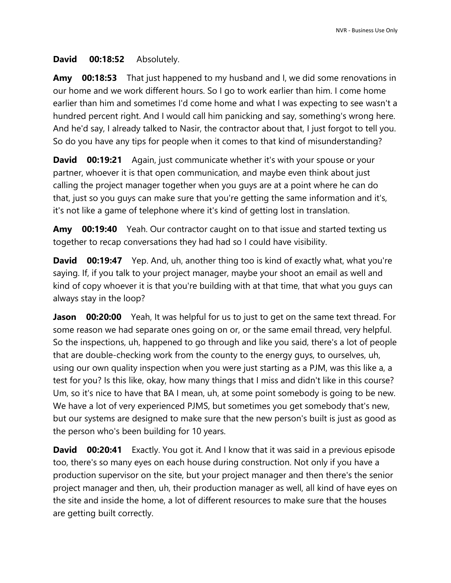## **David 00:18:52** Absolutely.

**Amy 00:18:53** That just happened to my husband and I, we did some renovations in our home and we work different hours. So I go to work earlier than him. I come home earlier than him and sometimes I'd come home and what I was expecting to see wasn't a hundred percent right. And I would call him panicking and say, something's wrong here. And he'd say, I already talked to Nasir, the contractor about that, I just forgot to tell you. So do you have any tips for people when it comes to that kind of misunderstanding?

**David 00:19:21** Again, just communicate whether it's with your spouse or your partner, whoever it is that open communication, and maybe even think about just calling the project manager together when you guys are at a point where he can do that, just so you guys can make sure that you're getting the same information and it's, it's not like a game of telephone where it's kind of getting lost in translation.

**Amy 00:19:40** Yeah. Our contractor caught on to that issue and started texting us together to recap conversations they had had so I could have visibility.

**David 00:19:47** Yep. And, uh, another thing too is kind of exactly what, what you're saying. If, if you talk to your project manager, maybe your shoot an email as well and kind of copy whoever it is that you're building with at that time, that what you guys can always stay in the loop?

**Jason 00:20:00** Yeah, It was helpful for us to just to get on the same text thread. For some reason we had separate ones going on or, or the same email thread, very helpful. So the inspections, uh, happened to go through and like you said, there's a lot of people that are double-checking work from the county to the energy guys, to ourselves, uh, using our own quality inspection when you were just starting as a PJM, was this like a, a test for you? Is this like, okay, how many things that I miss and didn't like in this course? Um, so it's nice to have that BA I mean, uh, at some point somebody is going to be new. We have a lot of very experienced PJMS, but sometimes you get somebody that's new, but our systems are designed to make sure that the new person's built is just as good as the person who's been building for 10 years.

**David 00:20:41** Exactly. You got it. And I know that it was said in a previous episode too, there's so many eyes on each house during construction. Not only if you have a production supervisor on the site, but your project manager and then there's the senior project manager and then, uh, their production manager as well, all kind of have eyes on the site and inside the home, a lot of different resources to make sure that the houses are getting built correctly.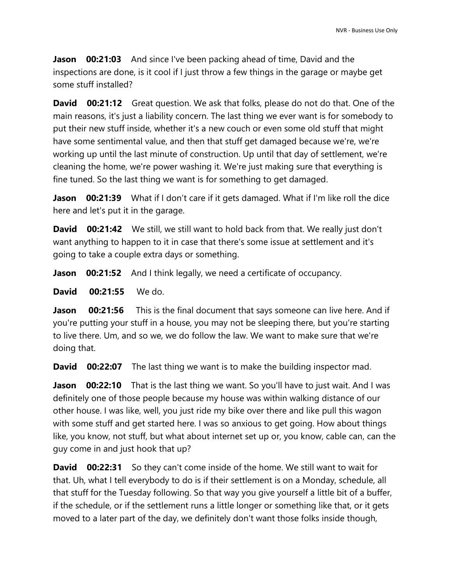**Jason 00:21:03** And since I've been packing ahead of time, David and the inspections are done, is it cool if I just throw a few things in the garage or maybe get some stuff installed?

**David 00:21:12** Great question. We ask that folks, please do not do that. One of the main reasons, it's just a liability concern. The last thing we ever want is for somebody to put their new stuff inside, whether it's a new couch or even some old stuff that might have some sentimental value, and then that stuff get damaged because we're, we're working up until the last minute of construction. Up until that day of settlement, we're cleaning the home, we're power washing it. We're just making sure that everything is fine tuned. So the last thing we want is for something to get damaged.

Jason 00:21:39 What if I don't care if it gets damaged. What if I'm like roll the dice here and let's put it in the garage.

**David 00:21:42** We still, we still want to hold back from that. We really just don't want anything to happen to it in case that there's some issue at settlement and it's going to take a couple extra days or something.

**Jason 00:21:52** And I think legally, we need a certificate of occupancy.

**David 00:21:55** We do.

**Jason 00:21:56** This is the final document that says someone can live here. And if you're putting your stuff in a house, you may not be sleeping there, but you're starting to live there. Um, and so we, we do follow the law. We want to make sure that we're doing that.

**David 00:22:07** The last thing we want is to make the building inspector mad.

**Jason 00:22:10** That is the last thing we want. So you'll have to just wait. And I was definitely one of those people because my house was within walking distance of our other house. I was like, well, you just ride my bike over there and like pull this wagon with some stuff and get started here. I was so anxious to get going. How about things like, you know, not stuff, but what about internet set up or, you know, cable can, can the guy come in and just hook that up?

**David 00:22:31** So they can't come inside of the home. We still want to wait for that. Uh, what I tell everybody to do is if their settlement is on a Monday, schedule, all that stuff for the Tuesday following. So that way you give yourself a little bit of a buffer, if the schedule, or if the settlement runs a little longer or something like that, or it gets moved to a later part of the day, we definitely don't want those folks inside though,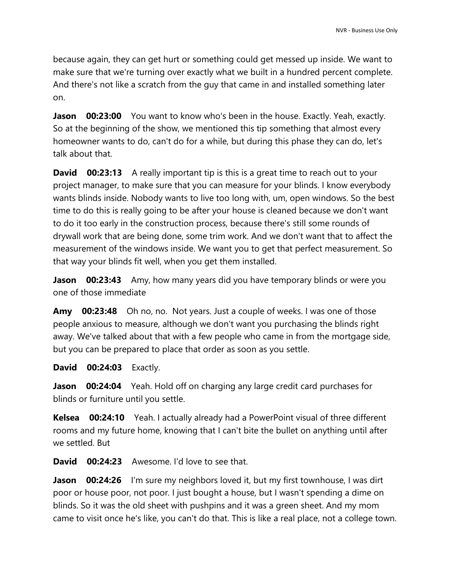because again, they can get hurt or something could get messed up inside. We want to make sure that we're turning over exactly what we built in a hundred percent complete. And there's not like a scratch from the guy that came in and installed something later on.

**Jason 00:23:00** You want to know who's been in the house. Exactly. Yeah, exactly. So at the beginning of the show, we mentioned this tip something that almost every homeowner wants to do, can't do for a while, but during this phase they can do, let's talk about that.

**David 00:23:13** A really important tip is this is a great time to reach out to your project manager, to make sure that you can measure for your blinds. I know everybody wants blinds inside. Nobody wants to live too long with, um, open windows. So the best time to do this is really going to be after your house is cleaned because we don't want to do it too early in the construction process, because there's still some rounds of drywall work that are being done, some trim work. And we don't want that to affect the measurement of the windows inside. We want you to get that perfect measurement. So that way your blinds fit well, when you get them installed.

**Jason 00:23:43** Amy, how many years did you have temporary blinds or were you one of those immediate

**Amy 00:23:48** Oh no, no. Not years. Just a couple of weeks. I was one of those people anxious to measure, although we don't want you purchasing the blinds right away. We've talked about that with a few people who came in from the mortgage side, but you can be prepared to place that order as soon as you settle.

**David 00:24:03** Exactly.

**Jason** 00:24:04 Yeah. Hold off on charging any large credit card purchases for blinds or furniture until you settle.

**Kelsea 00:24:10** Yeah. I actually already had a PowerPoint visual of three different rooms and my future home, knowing that I can't bite the bullet on anything until after we settled. But

**David 00:24:23** Awesome. I'd love to see that.

**Jason 00:24:26** I'm sure my neighbors loved it, but my first townhouse, I was dirt poor or house poor, not poor. I just bought a house, but I wasn't spending a dime on blinds. So it was the old sheet with pushpins and it was a green sheet. And my mom came to visit once he's like, you can't do that. This is like a real place, not a college town.